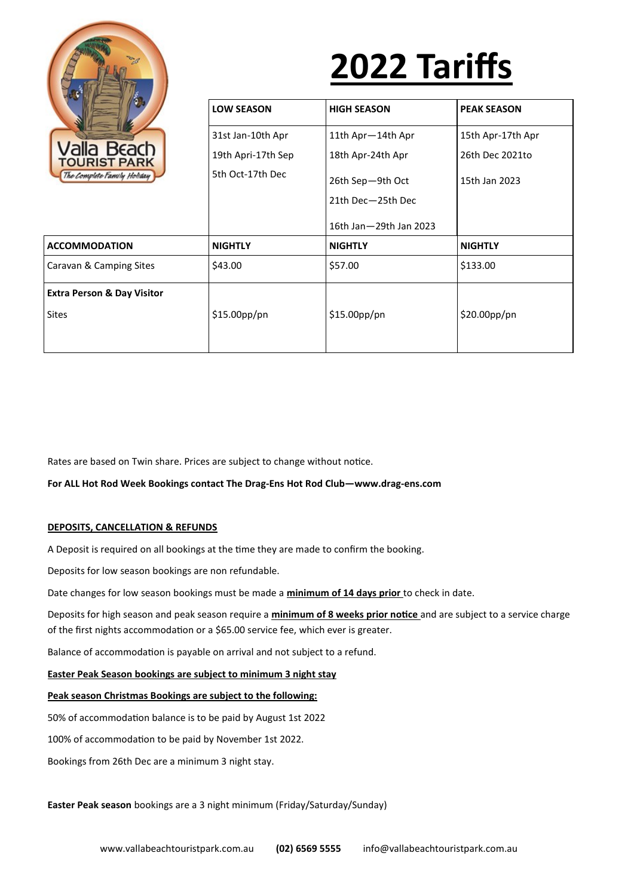

# **2022 Tariffs**

| alla Beach<br><b>TOURIST PARK</b><br>The Complete Family Holiday | <b>LOW SEASON</b>  | <b>HIGH SEASON</b>     | <b>PEAK SEASON</b> |
|------------------------------------------------------------------|--------------------|------------------------|--------------------|
|                                                                  | 31st Jan-10th Apr  | 11th Apr-14th Apr      | 15th Apr-17th Apr  |
|                                                                  | 19th Apri-17th Sep | 18th Apr-24th Apr      | 26th Dec 2021to    |
|                                                                  | 5th Oct-17th Dec   | 26th Sep-9th Oct       | 15th Jan 2023      |
|                                                                  |                    | 21th Dec-25th Dec      |                    |
|                                                                  |                    | 16th Jan-29th Jan 2023 |                    |
| <b>ACCOMMODATION</b>                                             | <b>NIGHTLY</b>     | <b>NIGHTLY</b>         | <b>NIGHTLY</b>     |
| Caravan & Camping Sites                                          | \$43.00            | \$57.00                | \$133.00           |
| <b>Extra Person &amp; Day Visitor</b>                            |                    |                        |                    |
| Sites                                                            | \$15.00pp/pn       | \$15.00pp/pn           | \$20.00pp/pn       |
|                                                                  |                    |                        |                    |

Rates are based on Twin share. Prices are subject to change without notice.

**For ALL Hot Rod Week Bookings contact The Drag-Ens Hot Rod Club—www.drag-ens.com**

## **DEPOSITS, CANCELLATION & REFUNDS**

A Deposit is required on all bookings at the time they are made to confirm the booking.

Deposits for low season bookings are non refundable.

Date changes for low season bookings must be made a **minimum of 14 days prior** to check in date.

Deposits for high season and peak season require a **minimum of 8 weeks prior notice** and are subject to a service charge of the first nights accommodation or a \$65.00 service fee, which ever is greater.

Balance of accommodation is payable on arrival and not subject to a refund.

#### **Easter Peak Season bookings are subject to minimum 3 night stay**

#### **Peak season Christmas Bookings are subject to the following:**

50% of accommodation balance is to be paid by August 1st 2022

100% of accommodation to be paid by November 1st 2022.

Bookings from 26th Dec are a minimum 3 night stay.

**Easter Peak season** bookings are a 3 night minimum (Friday/Saturday/Sunday)